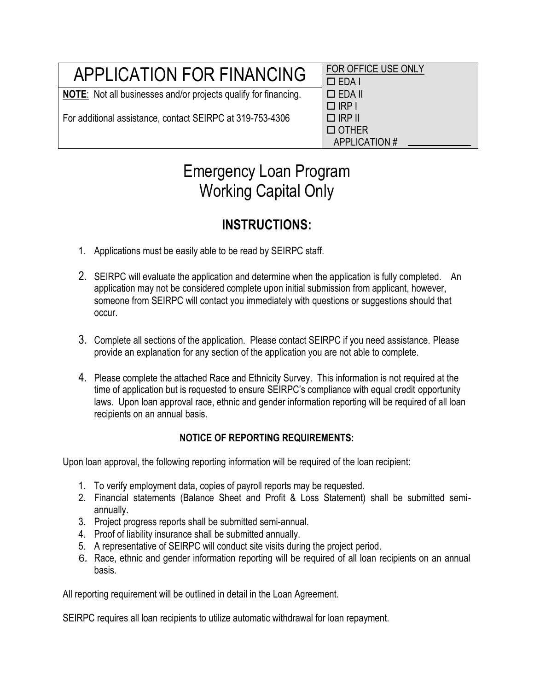| <b>APPLICATION FOR FINANCING</b>                                       | FOR OFFICE USE ONLY<br>$\Box$ EDA I |
|------------------------------------------------------------------------|-------------------------------------|
| <b>NOTE:</b> Not all businesses and/or projects qualify for financing. | $\Box$ EDA II                       |
|                                                                        | $\Box$ IRP I                        |
| For additional assistance, contact SEIRPC at 319-753-4306              | I □ IRP II                          |

 EDA I  $PI$ D OTHER APPLICATION #

# Emergency Loan Program Working Capital Only

## **INSTRUCTIONS:**

- 1. Applications must be easily able to be read by SEIRPC staff.
- 2. SEIRPC will evaluate the application and determine when the application is fully completed. An application may not be considered complete upon initial submission from applicant, however, someone from SEIRPC will contact you immediately with questions or suggestions should that occur.
- 3. Complete all sections of the application. Please contact SEIRPC if you need assistance. Please provide an explanation for any section of the application you are not able to complete.
- 4. Please complete the attached Race and Ethnicity Survey. This information is not required at the time of application but is requested to ensure SEIRPC's compliance with equal credit opportunity laws. Upon loan approval race, ethnic and gender information reporting will be required of all loan recipients on an annual basis.

### **NOTICE OF REPORTING REQUIREMENTS:**

Upon loan approval, the following reporting information will be required of the loan recipient:

- 1. To verify employment data, copies of payroll reports may be requested.
- 2. Financial statements (Balance Sheet and Profit & Loss Statement) shall be submitted semiannually.
- 3. Project progress reports shall be submitted semi-annual.
- 4. Proof of liability insurance shall be submitted annually.
- 5. A representative of SEIRPC will conduct site visits during the project period.
- 6. Race, ethnic and gender information reporting will be required of all loan recipients on an annual basis.

All reporting requirement will be outlined in detail in the Loan Agreement.

SEIRPC requires all loan recipients to utilize automatic withdrawal for loan repayment.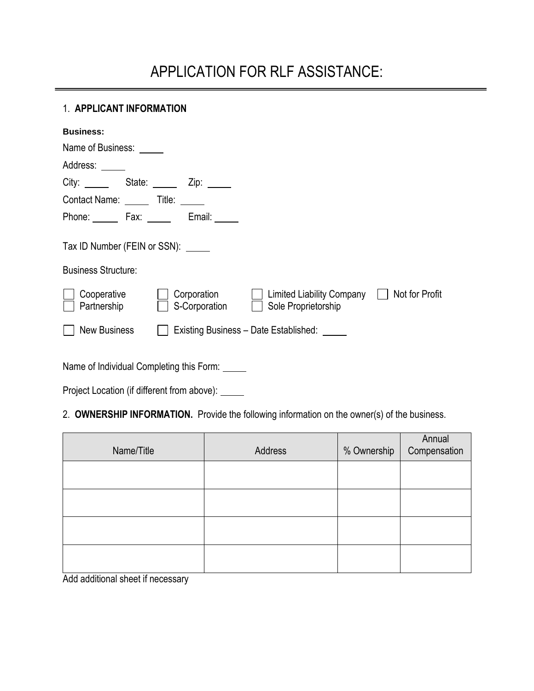# APPLICATION FOR RLF ASSISTANCE:

#### 1. **APPLICANT INFORMATION**

| <b>Business:</b>                                           |                              |                                                                   |  |
|------------------------------------------------------------|------------------------------|-------------------------------------------------------------------|--|
| Name of Business:                                          |                              |                                                                   |  |
| Address:                                                   |                              |                                                                   |  |
| City: State: Zip: The City:                                |                              |                                                                   |  |
| Contact Name: ______ Title: _____                          |                              |                                                                   |  |
|                                                            | Phone: Fax: Email:           |                                                                   |  |
| Tax ID Number (FEIN or SSN):<br><b>Business Structure:</b> |                              |                                                                   |  |
| Cooperative<br>Partnership                                 | Corporation<br>S-Corporation | Limited Liability Company   Not for Profit<br>Sole Proprietorship |  |
| <b>New Business</b>                                        |                              | Existing Business - Date Established: ____                        |  |

Name of Individual Completing this Form:

Project Location (if different from above): \_\_\_\_\_

### 2. **OWNERSHIP INFORMATION.** Provide the following information on the owner(s) of the business.

| Name/Title | Address | % Ownership | Annual<br>Compensation |
|------------|---------|-------------|------------------------|
|            |         |             |                        |
|            |         |             |                        |
|            |         |             |                        |
|            |         |             |                        |

Add additional sheet if necessary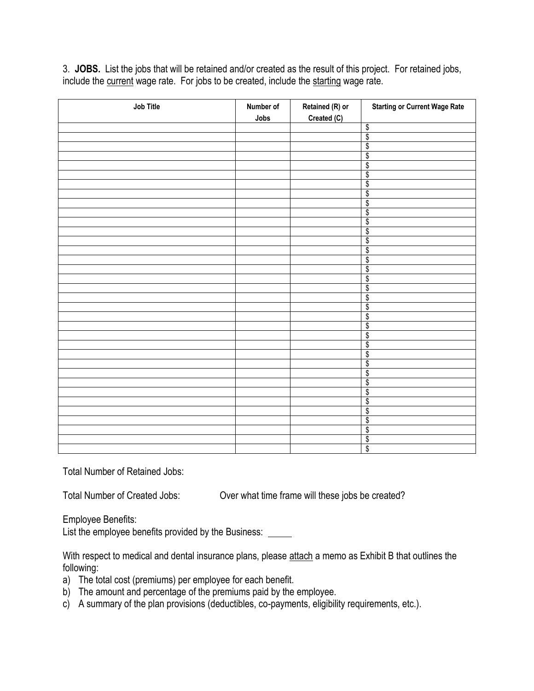3. **JOBS.** List the jobs that will be retained and/or created as the result of this project. For retained jobs, include the current wage rate. For jobs to be created, include the starting wage rate.

| Job Title | Number of<br>Jobs | Retained (R) or<br>Created (C) | <b>Starting or Current Wage Rate</b> |
|-----------|-------------------|--------------------------------|--------------------------------------|
|           |                   |                                | \$                                   |
|           |                   |                                | \$                                   |
|           |                   |                                | \$                                   |
|           |                   |                                | \$                                   |
|           |                   |                                | \$                                   |
|           |                   |                                | \$                                   |
|           |                   |                                | \$                                   |
|           |                   |                                | \$                                   |
|           |                   |                                | \$                                   |
|           |                   |                                | \$                                   |
|           |                   |                                | \$                                   |
|           |                   |                                | \$                                   |
|           |                   |                                | \$                                   |
|           |                   |                                | \$                                   |
|           |                   |                                | \$                                   |
|           |                   |                                | \$                                   |
|           |                   |                                | \$                                   |
|           |                   |                                | \$                                   |
|           |                   |                                | \$                                   |
|           |                   |                                | \$                                   |
|           |                   |                                | \$                                   |
|           |                   |                                | \$                                   |
|           |                   |                                | \$                                   |
|           |                   |                                | \$                                   |
|           |                   |                                | \$                                   |
|           |                   |                                | \$                                   |
|           |                   |                                | \$                                   |
|           |                   |                                | \$                                   |
|           |                   |                                | \$                                   |
|           |                   |                                | \$                                   |
|           |                   |                                | \$                                   |
|           |                   |                                | \$                                   |
|           |                   |                                | \$                                   |
|           |                   |                                | \$                                   |
|           |                   |                                | \$                                   |

Total Number of Retained Jobs:

Total Number of Created Jobs: Over what time frame will these jobs be created?

Employee Benefits:

List the employee benefits provided by the Business:

With respect to medical and dental insurance plans, please attach a memo as Exhibit B that outlines the following:

- a) The total cost (premiums) per employee for each benefit.
- b) The amount and percentage of the premiums paid by the employee.
- c) A summary of the plan provisions (deductibles, co-payments, eligibility requirements, etc.).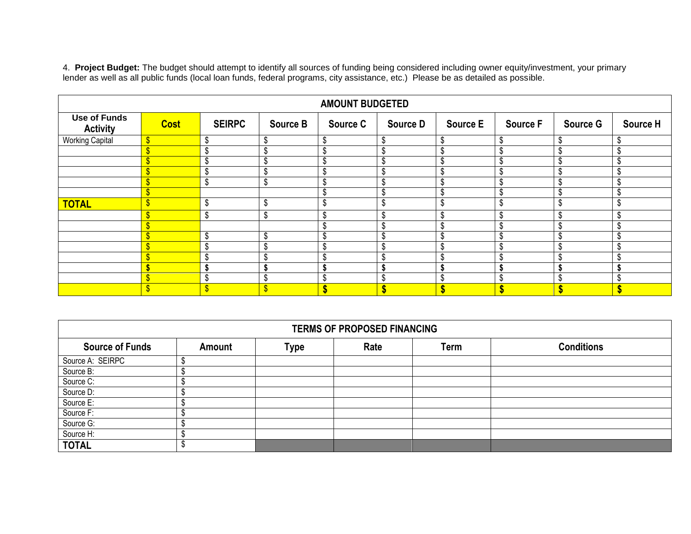4. **Project Budget:** The budget should attempt to identify all sources of funding being considered including owner equity/investment, your primary lender as well as all public funds (local loan funds, federal programs, city assistance, etc.) Please be as detailed as possible.

| <b>AMOUNT BUDGETED</b>                 |                           |               |                 |                 |                 |                 |                 |                 |                 |
|----------------------------------------|---------------------------|---------------|-----------------|-----------------|-----------------|-----------------|-----------------|-----------------|-----------------|
| <b>Use of Funds</b><br><b>Activity</b> | <b>Cost</b>               | <b>SEIRPC</b> | <b>Source B</b> | <b>Source C</b> | <b>Source D</b> | <b>Source E</b> | <b>Source F</b> | <b>Source G</b> | <b>Source H</b> |
| <b>Working Capital</b>                 | $\sqrt[6]{3}$             | \$            | C               | \$              |                 | \$              | \$              |                 | \$              |
|                                        | S                         | ¢<br>-J)      |                 | \$              |                 |                 | \$              |                 | \$              |
|                                        | $\boldsymbol{\mathsf{S}}$ | ₼<br>J.       |                 | \$              |                 | \$              | \$              |                 | \$              |
|                                        | Φ                         | \$            |                 | \$              |                 | \$              | \$              |                 | \$              |
|                                        | \$                        | \$            | \$              | \$              |                 | \$              | \$              |                 | \$              |
|                                        | \$.                       |               |                 | \$              |                 | \$              | \$              |                 | \$              |
| <b>TOTAL</b>                           | ሖ                         | \$            | \$              | \$              |                 | \$              | \$              |                 | \$              |
|                                        | \$                        | \$            | \$              | \$              |                 | \$              | \$              |                 | \$              |
|                                        | \$                        |               |                 | \$              |                 | \$              | \$              |                 | \$              |
|                                        | $\mathbf{\$}$             | \$            | \$              | \$              |                 | \$              | \$              |                 | \$              |
|                                        | \$                        | ₼<br>ה.       |                 | \$              |                 | \$              | \$              |                 | \$              |
|                                        | ₼                         | ₼             |                 | \$              |                 | đ<br>л          | Λ               |                 | \$              |
|                                        |                           |               |                 |                 |                 |                 |                 |                 |                 |
|                                        | $\boldsymbol{\mathsf{S}}$ | ₼<br>J.       | π               | \$              |                 | \$              | \$              |                 | \$              |
|                                        |                           |               | $\triangle$     | \$              |                 |                 | Φ               |                 |                 |

| <b>TERMS OF PROPOSED FINANCING</b> |               |             |      |      |                   |  |
|------------------------------------|---------------|-------------|------|------|-------------------|--|
| <b>Source of Funds</b>             | <b>Amount</b> | <b>Type</b> | Rate | Term | <b>Conditions</b> |  |
| Source A: SEIRPC                   |               |             |      |      |                   |  |
| Source B:                          |               |             |      |      |                   |  |
| Source C:                          |               |             |      |      |                   |  |
| Source D:                          |               |             |      |      |                   |  |
| Source E:                          |               |             |      |      |                   |  |
| Source F:                          |               |             |      |      |                   |  |
| Source G:                          |               |             |      |      |                   |  |
| Source H:                          |               |             |      |      |                   |  |
| <b>TOTAL</b>                       |               |             |      |      |                   |  |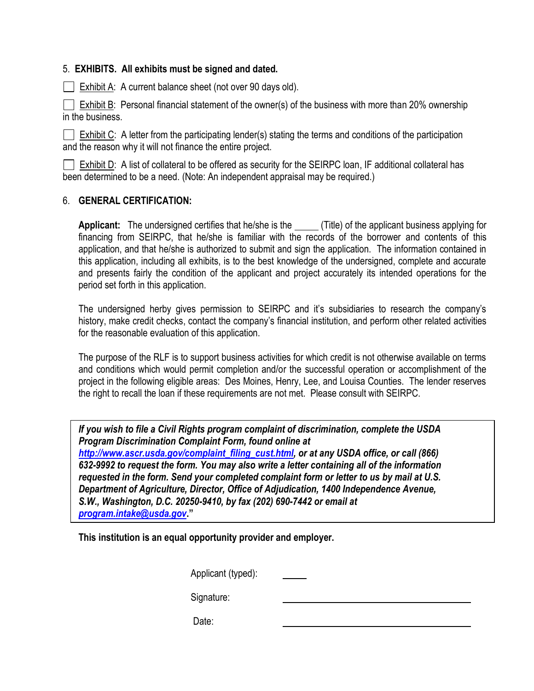#### 5. **EXHIBITS. All exhibits must be signed and dated.**

Exhibit A: A current balance sheet (not over 90 days old).

 $\Box$  Exhibit B: Personal financial statement of the owner(s) of the business with more than 20% ownership in the business.

Exhibit C: A letter from the participating lender(s) stating the terms and conditions of the participation and the reason why it will not finance the entire project.

Exhibit D: A list of collateral to be offered as security for the SEIRPC loan, IF additional collateral has been determined to be a need. (Note: An independent appraisal may be required.)

#### 6. **GENERAL CERTIFICATION:**

Applicant: The undersigned certifies that he/she is the \_\_\_\_\_ (Title) of the applicant business applying for financing from SEIRPC, that he/she is familiar with the records of the borrower and contents of this application, and that he/she is authorized to submit and sign the application. The information contained in this application, including all exhibits, is to the best knowledge of the undersigned, complete and accurate and presents fairly the condition of the applicant and project accurately its intended operations for the period set forth in this application.

The undersigned herby gives permission to SEIRPC and it's subsidiaries to research the company's history, make credit checks, contact the company's financial institution, and perform other related activities for the reasonable evaluation of this application.

The purpose of the RLF is to support business activities for which credit is not otherwise available on terms and conditions which would permit completion and/or the successful operation or accomplishment of the project in the following eligible areas: Des Moines, Henry, Lee, and Louisa Counties. The lender reserves the right to recall the loan if these requirements are not met. Please consult with SEIRPC.

*If you wish to file a Civil Rights program complaint of discrimination, complete the USDA Program Discrimination Complaint Form, found online at [http://www.ascr.usda.gov/complaint\\_filing\\_cust.html,](http://www.ascr.usda.gov/complaint_filing_cust.html) or at any USDA office, or call (866) 632-9992 to request the form. You may also write a letter containing all of the information requested in the form. Send your completed complaint form or letter to us by mail at U.S. Department of Agriculture, Director, Office of Adjudication, 1400 Independence Avenue, S.W., Washington, D.C. 20250-9410, by fax (202) 690-7442 or email at [program.intake@usda.gov](mailto:program.intake@usda.gov)***."**

**This institution is an equal opportunity provider and employer.**

Applicant (typed):

Signature:

Date: